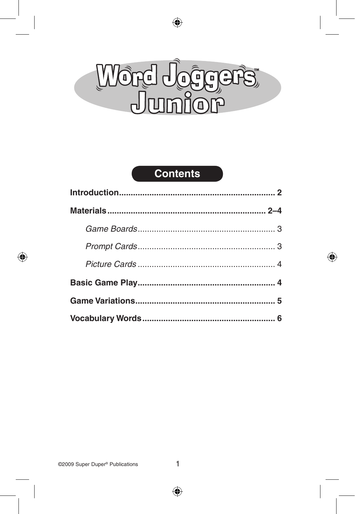

## **Contents**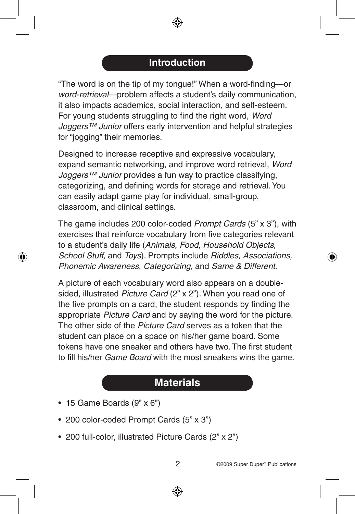### **Introduction**

"The word is on the tip of my tongue!" When a word-finding—or *word-retrieval*—problem affects a student's daily communication, it also impacts academics, social interaction, and self-esteem. For young students struggling to find the right word, *Word Joggers™ Junior* offers early intervention and helpful strategies for "jogging" their memories.

Designed to increase receptive and expressive vocabulary, expand semantic networking, and improve word retrieval, *Word Joggers™ Junior* provides a fun way to practice classifying, categorizing, and defining words for storage and retrieval. You can easily adapt game play for individual, small-group, classroom, and clinical settings.

The game includes 200 color-coded *Prompt Cards* (5" x 3"), with exercises that reinforce vocabulary from five categories relevant to a student's daily life (*Animals, Food, Household Objects, School Stuff,* and *Toys*). Prompts include *Riddles, Associations, Phonemic Awareness, Categorizing,* and *Same & Different*.

A picture of each vocabulary word also appears on a doublesided, illustrated *Picture Card* (2" x 2"). When you read one of the five prompts on a card, the student responds by finding the appropriate *Picture Card* and by saying the word for the picture. The other side of the *Picture Card* serves as a token that the student can place on a space on his/her game board. Some tokens have one sneaker and others have two. The first student to fill his/her *Game Board* with the most sneakers wins the game.

# **Materials**

- 15 Game Boards (9" x 6")
- 200 color-coded Prompt Cards (5" x 3")
- 200 full-color, illustrated Picture Cards (2" x 2")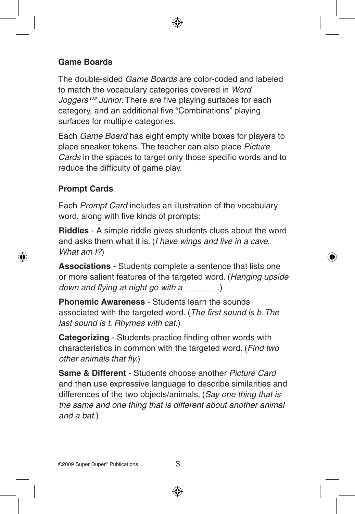#### **Game Boards**

The double-sided *Game Boards* are color-coded and labeled to match the vocabulary categories covered in *Word Joggers™ Junior*. There are five playing surfaces for each category, and an additional five "Combinations" playing surfaces for multiple categories.

Each *Game Board* has eight empty white boxes for players to place sneaker tokens. The teacher can also place *Picture Cards* in the spaces to target only those specific words and to reduce the difficulty of game play.

#### **Prompt Cards**

Each *Prompt Card* includes an illustration of the vocabulary word, along with five kinds of prompts:

**Riddles** - A simple riddle gives students clues about the word and asks them what it is. (*I have wings and live in a cave. What am I?*)

**Associations** - Students complete a sentence that lists one or more salient features of the targeted word. (*Hanging upside down and flying at night go with a \_\_\_\_\_\_\_.*)

**Phonemic Awareness** - Students learn the sounds associated with the targeted word. (*The first sound is b. The last sound is t. Rhymes with cat.*)

**Categorizing** - Students practice finding other words with characteristics in common with the targeted word. (*Find two other animals that fly.*)

**Same & Different** - Students choose another *Picture Card* and then use expressive language to describe similarities and differences of the two objects/animals. (*Say one thing that is the same and one thing that is different about another animal and a bat.*)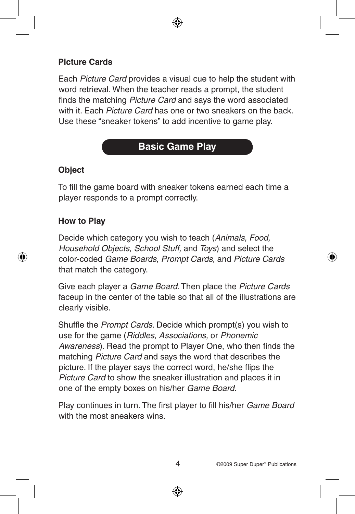#### **Picture Cards**

Each *Picture Card* provides a visual cue to help the student with word retrieval. When the teacher reads a prompt, the student finds the matching *Picture Card* and says the word associated with it. Each *Picture Card* has one or two sneakers on the back. Use these "sneaker tokens" to add incentive to game play.

## **Basic Game Play**

#### **Object**

To fill the game board with sneaker tokens earned each time a player responds to a prompt correctly.

#### **How to Play**

Decide which category you wish to teach (*Animals, Food, Household Objects, School Stuff,* and *Toys*) and select the color-coded *Game Boards, Prompt Cards,* and *Picture Cards* that match the category.

Give each player a *Game Board*. Then place the *Picture Cards* faceup in the center of the table so that all of the illustrations are clearly visible.

Shuffle the *Prompt Cards*. Decide which prompt(s) you wish to use for the game (*Riddles, Associations,* or *Phonemic Awareness*). Read the prompt to Player One, who then finds the matching *Picture Card* and says the word that describes the picture. If the player says the correct word, he/she flips the *Picture Card* to show the sneaker illustration and places it in one of the empty boxes on his/her *Game Board*.

Play continues in turn. The first player to fill his/her *Game Board* with the most sneakers wins.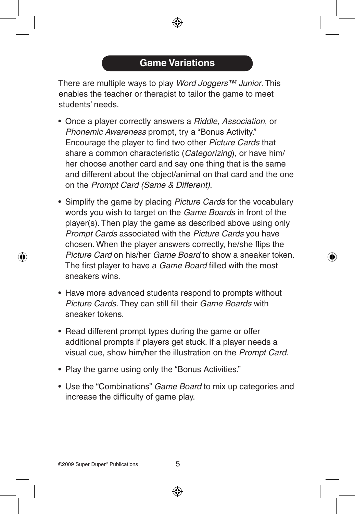There are multiple ways to play *Word Joggers™ Junior*. This enables the teacher or therapist to tailor the game to meet students' needs.

- Once a player correctly answers a *Riddle, Association*, or *Phonemic Awareness* prompt, try a "Bonus Activity." Encourage the player to find two other *Picture Cards* that share a common characteristic (*Categorizing*), or have him/ her choose another card and say one thing that is the same and different about the object/animal on that card and the one on the *Prompt Card (Same & Different)*.
- Simplify the game by placing *Picture Cards* for the vocabulary words you wish to target on the *Game Boards* in front of the player(s). Then play the game as described above using only *Prompt Cards* associated with the *Picture Cards* you have chosen. When the player answers correctly, he/she flips the *Picture Card* on his/her *Game Board* to show a sneaker token. The first player to have a *Game Board* filled with the most sneakers wins.
- Have more advanced students respond to prompts without *Picture Cards*. They can still fill their *Game Boards* with sneaker tokens.
- Read different prompt types during the game or offer additional prompts if players get stuck. If a player needs a visual cue, show him/her the illustration on the *Prompt Card*.
- Play the game using only the "Bonus Activities."
- Use the "Combinations" *Game Board* to mix up categories and increase the difficulty of game play.